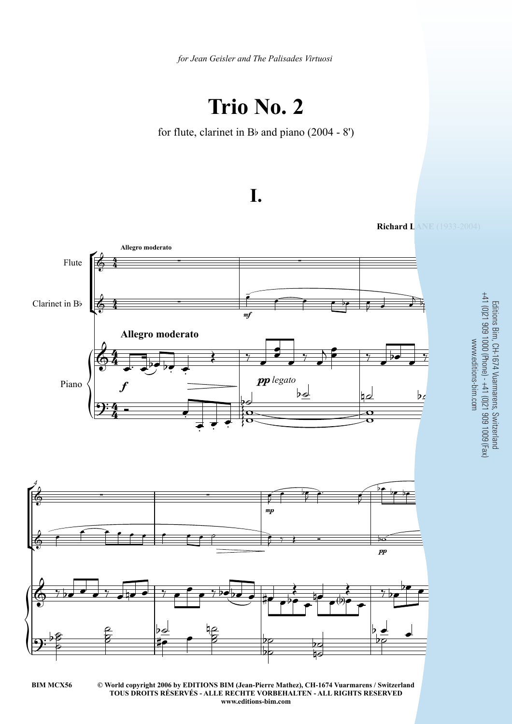*for Jean Geisler and The Palisades Virtuosi*

## **Trio No. 2**

for flute, clarinet in Bb and piano (2004 - 8')







**© World copyright 2006 by EDITIONS BIM (Jean-Pierre Mathez), CH-1674 Vuarmarens / Switzerland BIM MCX56** 3 **TOUS DROITS RÉSERVÉS - ALLE RECHTE VORBEHALTEN - ALL RIGHTS RESERVED www.editions-bim.com**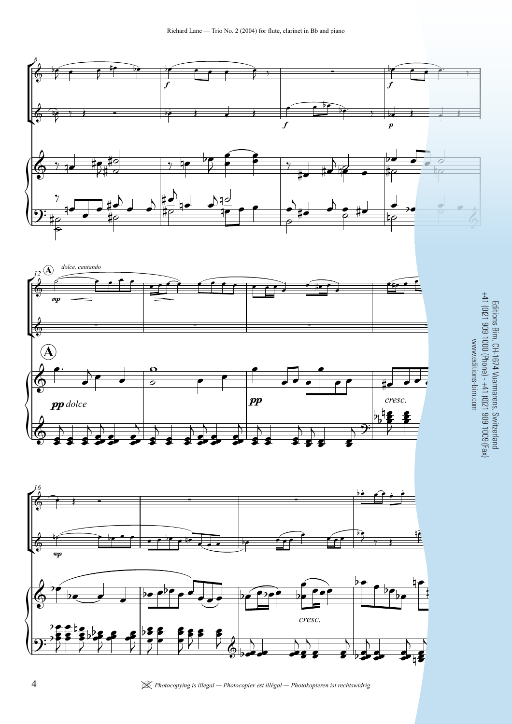





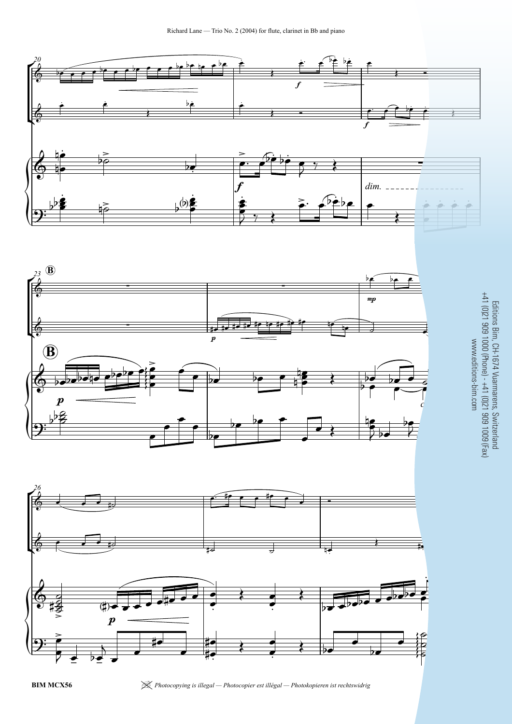





Editions Bim, CH-1674 Vuarmarens, Switzerland +41 (0)21 909 1000 (Phone) - +41 (0)21 909 1009 (Fax) www.editions-bim.com

**BIM MCX56** | *Photocopying is illegal — Photocopier est illégal — Photokopieren ist rechtswidrig*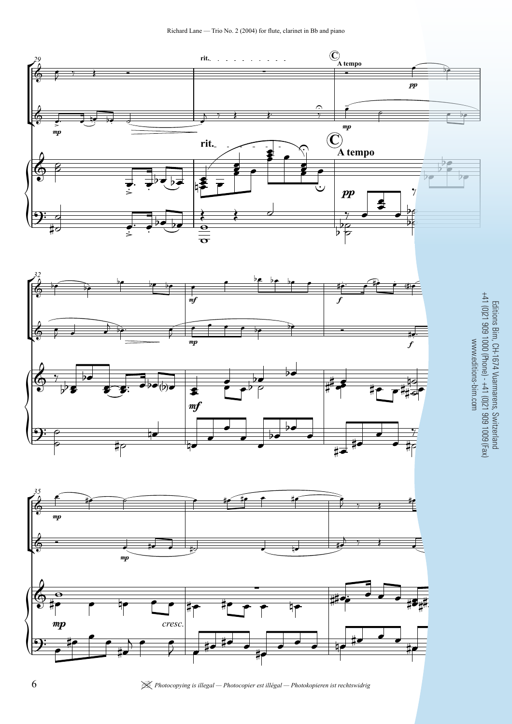







| *Photocopying is illegal — Photocopier est illégal — Photokopieren ist rechtswidrig* **BIM MCX56**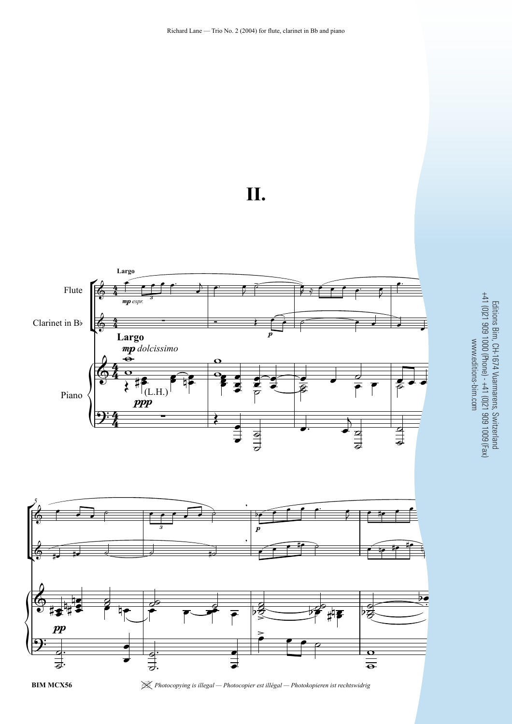





**BIM MCX56** | *Photocopying is illegal — Photocopier est illégal — Photokopieren ist rechtswidrig*